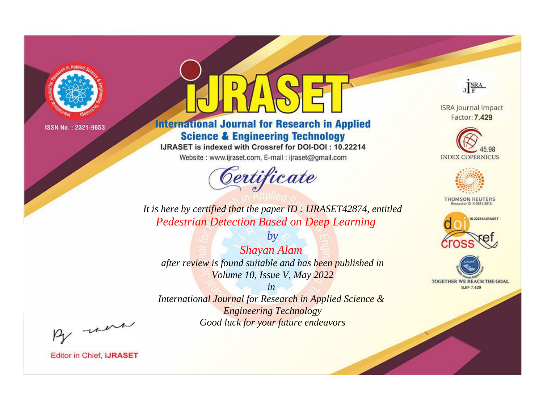

# **International Journal for Research in Applied Science & Engineering Technology**

IJRASET is indexed with Crossref for DOI-DOI: 10.22214

Website: www.ijraset.com, E-mail: ijraset@gmail.com



JERA

**ISRA Journal Impact** Factor: 7.429





**THOMSON REUTERS** 



TOGETHER WE REACH THE GOAL **SJIF 7.429** 

*It is here by certified that the paper ID : IJRASET42874, entitled Pedestrian Detection Based on Deep Learning*

*by Shayan Alam after review is found suitable and has been published in Volume 10, Issue V, May 2022*

*in* 

*International Journal for Research in Applied Science & Engineering Technology Good luck for your future endeavors*

By morn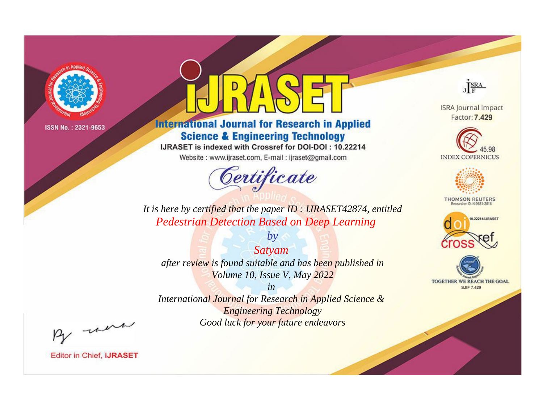

# **International Journal for Research in Applied Science & Engineering Technology**

IJRASET is indexed with Crossref for DOI-DOI: 10.22214

Website: www.ijraset.com, E-mail: ijraset@gmail.com



JERA

**ISRA Journal Impact** Factor: 7.429





**THOMSON REUTERS** 



TOGETHER WE REACH THE GOAL **SJIF 7.429** 

*It is here by certified that the paper ID : IJRASET42874, entitled Pedestrian Detection Based on Deep Learning*

*Satyam after review is found suitable and has been published in Volume 10, Issue V, May 2022*

*by*

*in* 

*International Journal for Research in Applied Science & Engineering Technology Good luck for your future endeavors*

By morn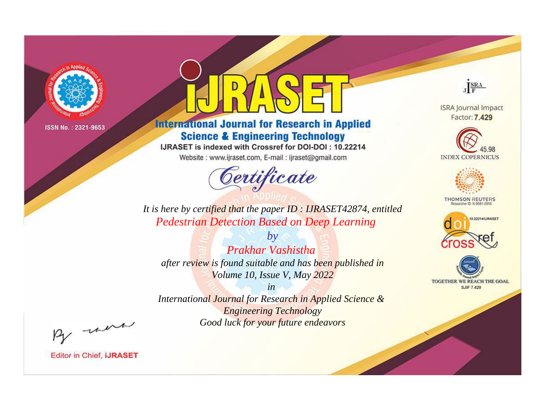

# **International Journal for Research in Applied Science & Engineering Technology**

IJRASET is indexed with Crossref for DOI-DOI: 10.22214

Website: www.ijraset.com, E-mail: ijraset@gmail.com



JERA

**ISRA Journal Impact** Factor: 7.429





**THOMSON REUTERS** 



TOGETHER WE REACH THE GOAL **SJIF 7.429** 

It is here by certified that the paper ID: IJRASET42874, entitled **Pedestrian Detection Based on Deep Learning** 

 $b\nu$ **Prakhar Vashistha** after review is found suitable and has been published in Volume 10, Issue V, May 2022

 $in$ International Journal for Research in Applied Science & **Engineering Technology** Good luck for your future endeavors

By morn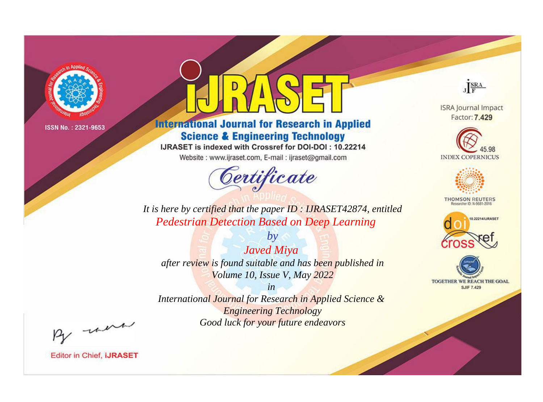

# **International Journal for Research in Applied Science & Engineering Technology**

IJRASET is indexed with Crossref for DOI-DOI: 10.22214

Website: www.ijraset.com, E-mail: ijraset@gmail.com



JERA

**ISRA Journal Impact** Factor: 7.429





**THOMSON REUTERS** 



TOGETHER WE REACH THE GOAL **SJIF 7.429** 

*It is here by certified that the paper ID : IJRASET42874, entitled Pedestrian Detection Based on Deep Learning*

*Javed Miya after review is found suitable and has been published in Volume 10, Issue V, May 2022*

*by*

*in* 

*International Journal for Research in Applied Science & Engineering Technology Good luck for your future endeavors*

By morn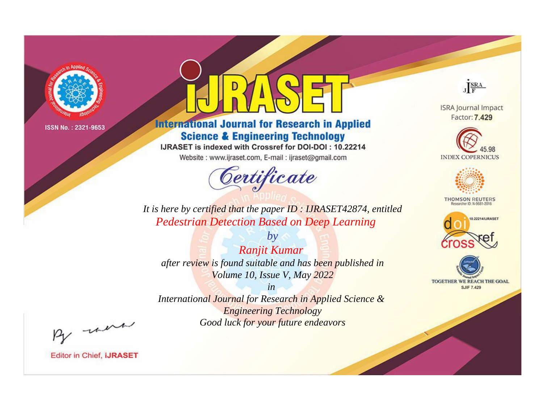

# **International Journal for Research in Applied Science & Engineering Technology**

IJRASET is indexed with Crossref for DOI-DOI: 10.22214

Website: www.ijraset.com, E-mail: ijraset@gmail.com



JERA

**ISRA Journal Impact** Factor: 7.429





**THOMSON REUTERS** 



TOGETHER WE REACH THE GOAL **SJIF 7.429** 

It is here by certified that the paper ID: IJRASET42874, entitled **Pedestrian Detection Based on Deep Learning** 

 $by$ Ranjit Kumar after review is found suitable and has been published in Volume 10, Issue V, May 2022

 $in$ International Journal for Research in Applied Science & **Engineering Technology** Good luck for your future endeavors

By morn